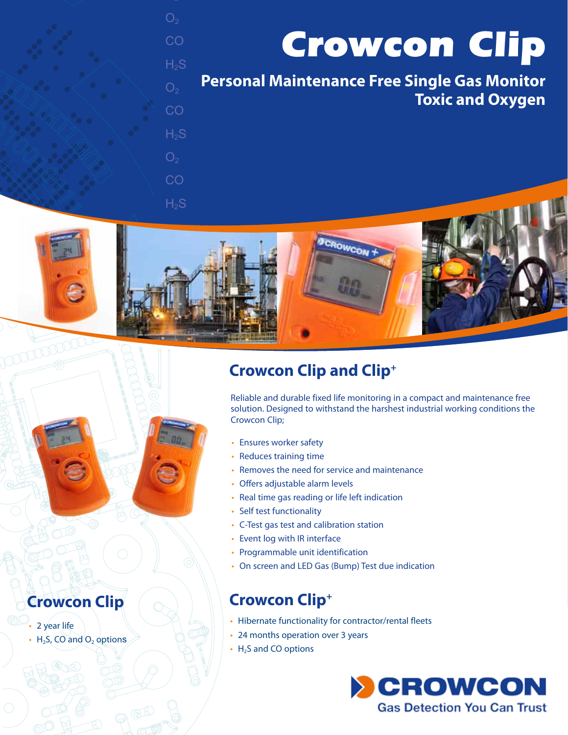*Crowcon Clip*

**Personal Maintenance Free Single Gas Monitor Toxic and Oxygen**

 $O<sub>2</sub>$ CO  $H<sub>2</sub>S$ 

**CO** 

 $H<sub>2</sub>S$ 

**CO** 

 $H<sub>2</sub>S$ 



# **Crowcon Clip and Clip+**

Reliable and durable fixed life monitoring in a compact and maintenance free solution. Designed to withstand the harshest industrial working conditions the Crowcon Clip;

- Ensures worker safety
- Reduces training time
- Removes the need for service and maintenance
- Offers adjustable alarm levels
- Real time gas reading or life left indication
- Self test functionality
- C-Test gas test and calibration station
- Event log with IR interface
- Programmable unit identification
- On screen and LED Gas (Bump) Test due indication

- Hibernate functionality for contractor/rental fleets
- 24 months operation over 3 years
- $\cdot$  H<sub>2</sub>S and CO options





- 2 year life
- $\cdot$  H<sub>2</sub>S, CO and O<sub>2</sub> options